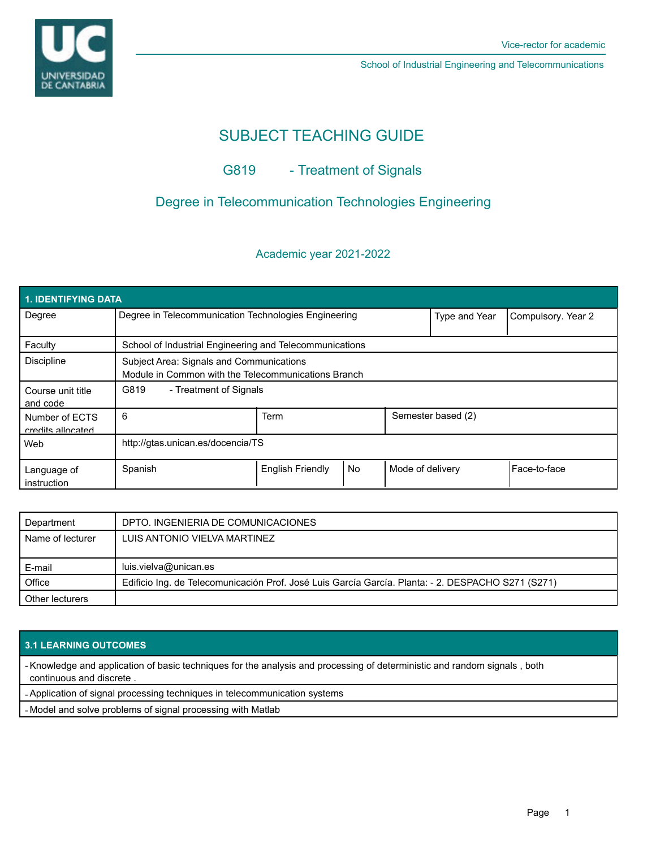

School of Industrial Engineering and Telecommunications

# SUBJECT TEACHING GUIDE

## G819 - Treatment of Signals

### Degree in Telecommunication Technologies Engineering

### Academic year 2021-2022

| <b>1. IDENTIFYING DATA</b>          |                                                                                                 |                         |           |                    |                    |              |  |  |  |
|-------------------------------------|-------------------------------------------------------------------------------------------------|-------------------------|-----------|--------------------|--------------------|--------------|--|--|--|
| Degree                              | Degree in Telecommunication Technologies Engineering                                            |                         |           | Type and Year      | Compulsory. Year 2 |              |  |  |  |
| Faculty                             | School of Industrial Engineering and Telecommunications                                         |                         |           |                    |                    |              |  |  |  |
| <b>Discipline</b>                   | Subject Area: Signals and Communications<br>Module in Common with the Telecommunications Branch |                         |           |                    |                    |              |  |  |  |
| Course unit title<br>and code       | G819<br>- Treatment of Signals                                                                  |                         |           |                    |                    |              |  |  |  |
| Number of ECTS<br>credits allocated | 6                                                                                               | Term                    |           | Semester based (2) |                    |              |  |  |  |
| Web                                 | http://gtas.unican.es/docencia/TS                                                               |                         |           |                    |                    |              |  |  |  |
| Language of<br>instruction          | Spanish                                                                                         | <b>English Friendly</b> | <b>No</b> | Mode of delivery   |                    | Face-to-face |  |  |  |

| Department       | DPTO. INGENIERIA DE COMUNICACIONES                                                                 |
|------------------|----------------------------------------------------------------------------------------------------|
| Name of lecturer | LUIS ANTONIO VIELVA MARTINEZ                                                                       |
|                  |                                                                                                    |
| E-mail           | luis.vielva@unican.es                                                                              |
| Office           | Edificio Ing. de Telecomunicación Prof. José Luis García García. Planta: - 2. DESPACHO S271 (S271) |
| Other lecturers  |                                                                                                    |

### **3.1 LEARNING OUTCOMES**

- Knowledge and application of basic techniques for the analysis and processing of deterministic and random signals , both continuous and discrete .

- Application of signal processing techniques in telecommunication systems

- Model and solve problems of signal processing with Matlab